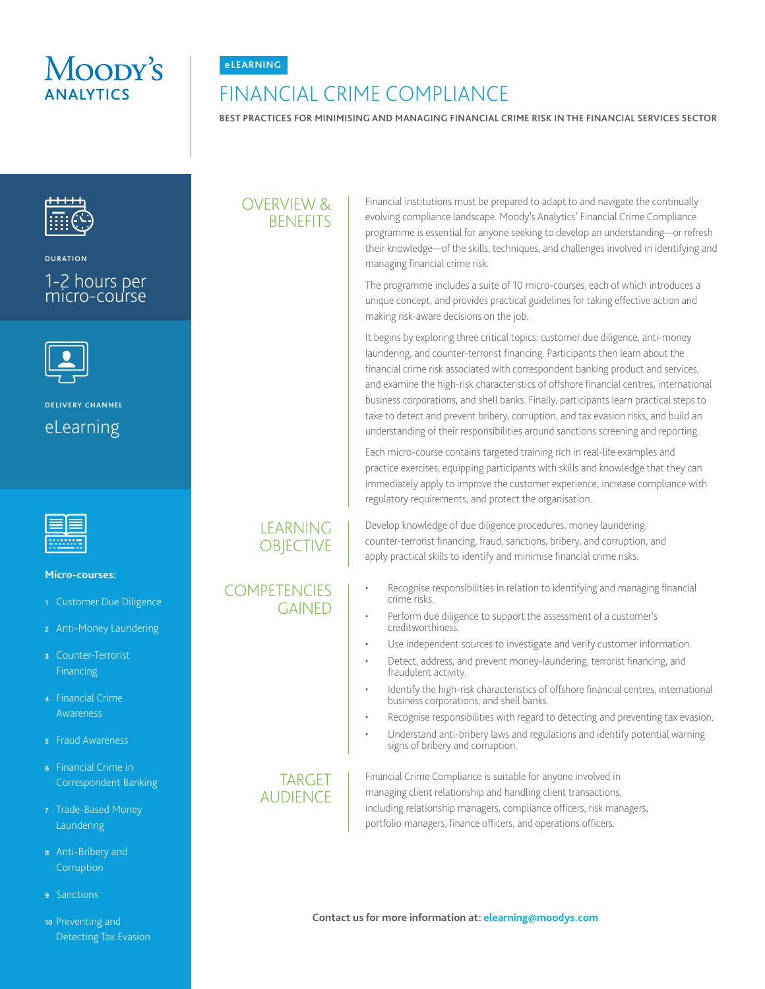



# FINANCIAL CRIME COMPLIANCE

**BEST PRACTICES FOR MINIMISING AND MANAGING FINANCIAL CRIME RISK IN THE FINANCIAL SERVICES SECTOR**



**DURATION**

### 1-2 hours per micro-course



# **DELIVERY CHANNEL** eLearning



#### **Micro-courses:**

- **<sup>1</sup>** Customer Due Diligence
- **<sup>2</sup>** Anti-Money Laundering
- **<sup>3</sup>** Counter-Terrorist **Financing**
- **<sup>4</sup>**Financial Crime Awareness
- **<sup>5</sup>** Fraud Awareness
- **<sup>6</sup>** Financial Crime in Correspondent Banking
- **<sup>7</sup>** Trade-Based Money Laundering
- **<sup>8</sup>** Anti-Bribery and **Corruption**
- **<sup>9</sup>** Sanctions

#### **<sup>10</sup>** Preventing and Detecting Tax Evasion

## OVERVIEW & **BENEFITS**

Financial institutions must be prepared to adapt to and navigate the continually evolving compliance landscape. Moody's Analytics' Financial Crime Compliance programme is essential for anyone seeking to develop an understanding—or refresh their knowledge—of the skills, techniques, and challenges involved in identifying and managing financial crime risk.

The programme includes a suite of 10 micro-courses, each of which introduces a unique concept, and provides practical guidelines for taking effective action and making risk-aware decisions on the job.

It begins by exploring three critical topics: customer due diligence, anti-money laundering, and counter-terrorist financing. Participants then learn about the financial crime risk associated with correspondent banking product and services, and examine the high-risk characteristics of offshore financial centres, international business corporations, and shell banks. Finally, participants learn practical steps to take to detect and prevent bribery, corruption, and tax evasion risks, and build an understanding of their responsibilities around sanctions screening and reporting.

Each micro-course contains targeted training rich in real-life examples and practice exercises, equipping participants with skills and knowledge that they can immediately apply to improve the customer experience, increase compliance with regulatory requirements, and protect the organisation.

Develop knowledge of due diligence procedures, money laundering, counter-terrorist financing, fraud, sanctions, bribery, and corruption, and apply practical skills to identify and minimise financial crime risks.

- Recognise responsibilities in relation to identifying and managing financial crime risks.
- Perform due diligence to support the assessment of a customer's creditworthiness.
- Use independent sources to investigate and verify customer information.
- Detect, address, and prevent money-laundering, terrorist financing, and fraudulent activity.
- Identify the high-risk characteristics of offshore financial centres, international business corporations, and shell banks.
- Recognise responsibilities with regard to detecting and preventing tax evasion.
- Understand anti-bribery laws and regulations and identify potential warning signs of bribery and corruption.

#### TARGET **AUDIFNCF**

Financial Crime Compliance is suitable for anyone involved in managing client relationship and handling client transactions, including relationship managers, compliance officers, risk managers, portfolio managers, finance officers, and operations officers.

**Contact us for more information at: elearning@moodys.com**

## LEARNING **OBJECTIVE**

### **COMPETENCIES** GAINED